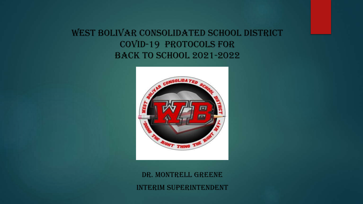## West bolivar consolidated school district covid-19 protocols for back to school 2021-2022



DR. MONTRELL GREENE INTERIM SUPERINTENDENT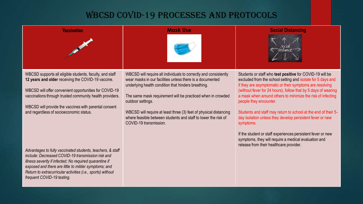### WBCSD COVID-19 PROCESSES AND PROTOCOLS

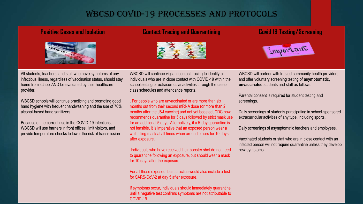### WBCSD COVID-19 PROCESSES AND PROTOCOLS



#### All students, teachers, and staff who have symptoms of any infectious illness, regardless of vaccination status, should stay home from school AND be evaluated by their healthcare provider.

WBCSD schools will continue practicing and promoting good hand hygiene with frequent handwashing and the use of 70% alcohol-based hand sanitizers.

Because of the current rise in the COVID-19 infections, WBCSD will use barriers in front offices, limit visitors, and provide temperature checks to lower the risk of transmission. WBCSD will continue vigilant contact tracing to identify all individuals who are in close contact with COVID-19 within the school setting or extracurricular activities through the use of class schedules and attendance reports.

. For people who are unvaccinated or are more than six months out from their second mRNA dose (or more than 2 months after the J&J vaccine) and not yet boosted, CDC now recommends quarantine for 5 days followed by strict mask use for an additional 5 days. Alternatively, if a 5-day quarantine is not feasible, it is imperative that an exposed person wear a well-fitting mask at all times when around others for 10 days after exposure.

Individuals who have received their booster shot do not need to quarantine following an exposure, but should wear a mask for 10 days after the exposure.

For all those exposed, best practice would also include a test for SARS-CoV-2 at day 5 after exposure.

If symptoms occur, individuals should immediately quarantine until a negative test confirms symptoms are not attributable to COVID-19.

#### **Positive Cases and Isolation Contact Tracing and Quarantining Covid 19 Testing/Screening**



WBCSD will partner with trusted community health providers and offer voluntary screening testing of **asymptomatic**, **unvaccinated** students and staff as follows:

Parental consent is required for student testing and screenings.

Daily screenings of students participating in school-sponsored extracurricular activities of any type, including sports.

Daily screenings of asymptomatic teachers and employees.

Vaccinated students or staff who are in close contact with an infected person will not require quarantine unless they develop new symptoms.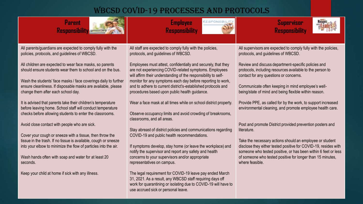## WBCSD COVID-19 PROCESSES AND PROTOCOLS

| <b>Parent</b><br><b>Responsibility</b>                                                                                                                                                                                                                                                                                                                                                                                         | <b>Employee</b><br>RESPONSIB<br><b>Responsibility</b>                                                                                                                                                                                                                                                                                                                                                                                          | <b>Supervisor</b><br><b>Responsibility</b>                                                                                                                                                                                                                                                                                                                                                             |
|--------------------------------------------------------------------------------------------------------------------------------------------------------------------------------------------------------------------------------------------------------------------------------------------------------------------------------------------------------------------------------------------------------------------------------|------------------------------------------------------------------------------------------------------------------------------------------------------------------------------------------------------------------------------------------------------------------------------------------------------------------------------------------------------------------------------------------------------------------------------------------------|--------------------------------------------------------------------------------------------------------------------------------------------------------------------------------------------------------------------------------------------------------------------------------------------------------------------------------------------------------------------------------------------------------|
| All parents/guardians are expected to comply fully with the<br>policies, protocols, and guidelines of WBCSD.                                                                                                                                                                                                                                                                                                                   | All staff are expected to comply fully with the policies,<br>protocols, and guidelines of WBCSD.                                                                                                                                                                                                                                                                                                                                               | All supervisors are expected to comply fully with the policies,<br>protocols, and guidelines of WBCSD.                                                                                                                                                                                                                                                                                                 |
| All children are expected to wear face masks, so parents<br>should ensure students wear them to school and on the bus.<br>Wash the students' face masks / face coverings daily to further<br>ensure cleanliness. If disposable masks are available, please<br>change them after each school day.<br>It is advised that parents take their children's temperature<br>before leaving home. School staff will conduct temperature | Employees must attest, confidentially and securely, that they<br>are not experiencing COVID-related symptoms. Employees<br>will affirm their understanding of the responsibility to self-<br>monitor for any symptoms each day before reporting to work,<br>and to adhere to current district's-established protocols and<br>procedures based upon public health guidance.<br>Wear a face mask at all times while on school district property. | Review and discuss department-specific policies and<br>protocols, including resources available to the person to<br>contact for any questions or concerns.<br>Communicate often keeping in mind employee's well-<br>being/state of mind and being flexible within reason.<br>Provide PPE, as called for by the work, to support increased<br>environmental cleaning, and promote employee health care. |
| checks before allowing students to enter the classrooms.<br>Avoid close contact with people who are sick.                                                                                                                                                                                                                                                                                                                      | Observe occupancy limits and avoid crowding of breakrooms,<br>classrooms, and all areas.                                                                                                                                                                                                                                                                                                                                                       | Post and promote District provided prevention posters and                                                                                                                                                                                                                                                                                                                                              |
| Cover your cough or sneeze with a tissue, then throw the<br>tissue in the trash. If no tissue is available, cough or sneeze<br>into your elbow to minimize the flow of particles into the air.<br>Wash hands often with soap and water for at least 20<br>seconds.                                                                                                                                                             | Stay abreast of district policies and communications regarding<br>COVID-19 and public health recommendations.<br>If symptoms develop, stay home (or leave the workplace) and<br>notify the supervisor and report any safety and health<br>concerns to your supervisors and/or appropriate<br>representatives on campus.                                                                                                                        | literature.<br>Take the necessary actions should an employee or student<br>disclose they either tested positive for COVID-19, resides with<br>someone who tested positive, or has been within 6 feet or less<br>of someone who tested positive for longer than 15 minutes,<br>where feasible.                                                                                                          |
| Keep your child at home if sick with any illness.                                                                                                                                                                                                                                                                                                                                                                              | The legal requirement for COVID-19 leave pay ended March<br>31, 2021. As a result, any WBCSD staff requiring days off<br>work for quarantining or isolating due to COVID-19 will have to<br>use accrued sick or personal leave.                                                                                                                                                                                                                |                                                                                                                                                                                                                                                                                                                                                                                                        |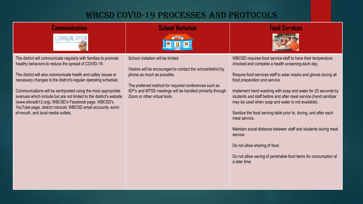# WBCSD COVID-19 Processes and Protocols

| Communication<br><b>COMMUNICAT</b>                                                                                                                                                                                                                                                                                                                                                                                                                                                                                                                               | <b>School Visitation</b>                                                                                                                                                                                                                                                                | <b>Food Services</b>                                                                                                                                                                                                                                                                                                                                                                                                                                                                                                                                                                                                                                                                                   |
|------------------------------------------------------------------------------------------------------------------------------------------------------------------------------------------------------------------------------------------------------------------------------------------------------------------------------------------------------------------------------------------------------------------------------------------------------------------------------------------------------------------------------------------------------------------|-----------------------------------------------------------------------------------------------------------------------------------------------------------------------------------------------------------------------------------------------------------------------------------------|--------------------------------------------------------------------------------------------------------------------------------------------------------------------------------------------------------------------------------------------------------------------------------------------------------------------------------------------------------------------------------------------------------------------------------------------------------------------------------------------------------------------------------------------------------------------------------------------------------------------------------------------------------------------------------------------------------|
| The district will communicate regularly with families to promote<br>healthy behaviors to reduce the spread of COVID-19.<br>The district will also communicate health and safety issues or<br>necessary changes to the district's regular operating schedule.<br>Communications will be sent/posted using the most appropriate<br>avenues which include but are not limited to the district's website<br>(www.wbcsdk12.org), WBCSD's Facebook page, WBCSD's<br>YouTube page, district robocall, WBCSD email accounts, word-<br>of-mouth, and local media outlets. | School visitation will be limited.<br>Visitors will be encouraged to contact the school/district by<br>phone as much as possible.<br>The preferred method for required conferences such as<br>IEP's and MTSS meetings will be handled primarily through<br>Zoom or other virtual tools. | WBCSD requires food service staff to have their temperature<br>checked and complete a health screening each day.<br>Require food services staff to wear masks and gloves during all<br>food preparation and service.<br>Implement hand washing with soap and water for 20 seconds by<br>students and staff before and after meal service (hand sanitizer<br>may be used when soap and water is not available).<br>Sanitize the food serving table prior to, during, and after each<br>meal service.<br>Maintain social distance between staff and students during meal<br>service<br>Do not allow sharing of food.<br>Do not allow saving of perishable food items for consumption at<br>a later time. |